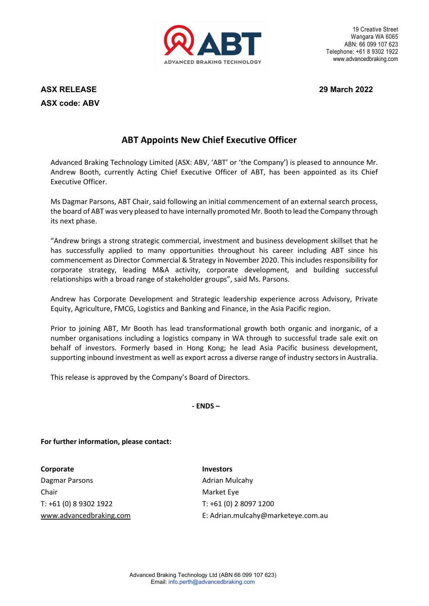

19 Creative Street Wangara WA 6065 ABN: 66 099 107 623 Telephone: +61 8 9302 1922 www.advancedbraking.com

**ASX RELEASE 29 March 2022 ASX code: ABV**

## **ABT Appoints New Chief Executive Officer**

Advanced Braking Technology Limited (ASX: ABV, 'ABT' or 'the Company') is pleased to announce Mr. Andrew Booth, currently Acting Chief Executive Officer of ABT, has been appointed as its Chief Executive Officer.

Ms Dagmar Parsons, ABT Chair, said following an initial commencement of an external search process, the board of ABT was very pleased to have internally promoted Mr. Booth to lead the Company through its next phase.

"Andrew brings a strong strategic commercial, investment and business development skillset that he has successfully applied to many opportunities throughout his career including ABT since his commencement as Director Commercial & Strategy in November 2020. This includes responsibility for corporate strategy, leading M&A activity, corporate development, and building successful relationships with a broad range of stakeholder groups", said Ms. Parsons.

Andrew has Corporate Development and Strategic leadership experience across Advisory, Private Equity, Agriculture, FMCG, Logistics and Banking and Finance, in the Asia Pacific region.

Prior to joining ABT, Mr Booth has lead transformational growth both organic and inorganic, of a number organisations including a logistics company in WA through to successful trade sale exit on behalf of investors. Formerly based in Hong Kong; he lead Asia Pacific business development, supporting inbound investment as well as export across a diverse range of industry sectors in Australia.

This release is approved by the Company's Board of Directors.

**- ENDS –**

**For further information, please contact:** 

**Corporate** Investors Dagmar Parsons **Adrian Mulcahy Contract Adrian Mulcahy** Chair Market Eye T: +61 (0) 8 9302 1922 T: +61 (0) 2 8097 1200

[www.advancedbraking.com](http://www.advancedbraking.com/) E: Adrian.mulcahy@marketeye.com.au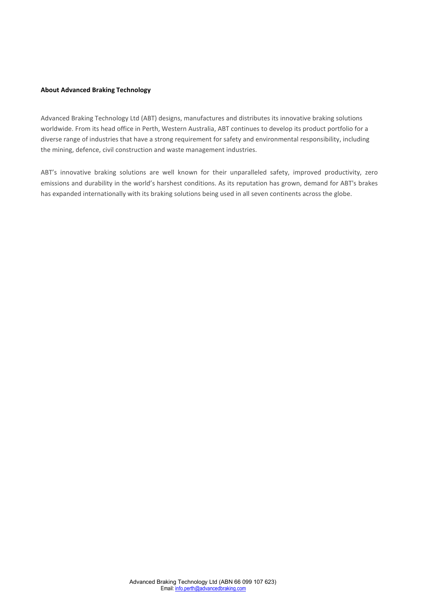## **About Advanced Braking Technology**

Advanced Braking Technology Ltd (ABT) designs, manufactures and distributes its innovative braking solutions worldwide. From its head office in Perth, Western Australia, ABT continues to develop its product portfolio for a diverse range of industries that have a strong requirement for safety and environmental responsibility, including the mining, defence, civil construction and waste management industries.

ABT's innovative braking solutions are well known for their unparalleled safety, improved productivity, zero emissions and durability in the world's harshest conditions. As its reputation has grown, demand for ABT's brakes has expanded internationally with its braking solutions being used in all seven continents across the globe.